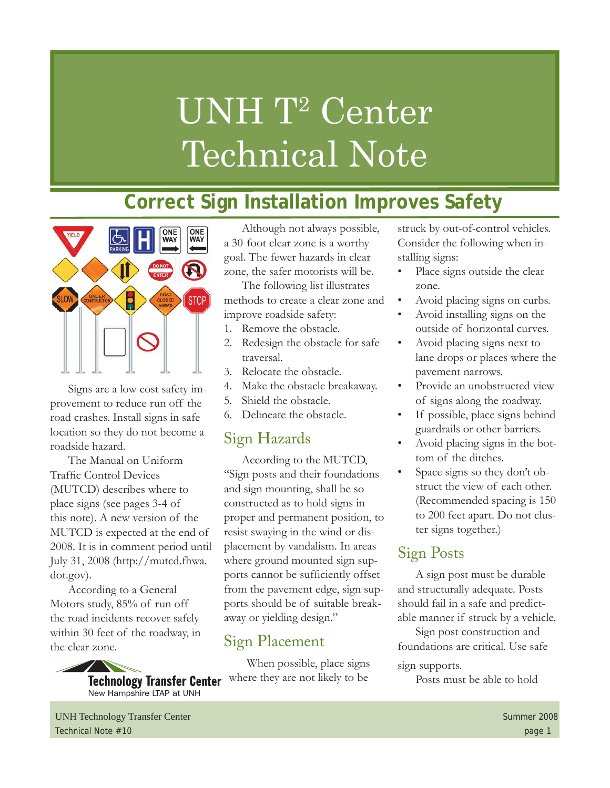# UNH T<sup>2</sup> Center Technical Note

## **Correct Sign Installation Improves Safety**



Signs are a low cost safety improvement to reduce run off the road crashes. Install signs in safe location so they do not become a roadside hazard.

The Manual on Uniform Traffic Control Devices (MUTCD) describes where to place signs (see pages 3-4 of this note). A new version of the MUTCD is expected at the end of 2008. It is in comment period until July 31, 2008 (http://mutcd.fhwa. dot.gov).

According to a General Motors study, 85% of run off the road incidents recover safely within 30 feet of the roadway, in the clear zone.



UNH Technology Transfer Center Summer 2008 Technical Note #10 page 1

Although not always possible, a 30-foot clear zone is a worthy goal. The fewer hazards in clear zone, the safer motorists will be.

The following list illustrates methods to create a clear zone and improve roadside safety:

- 1. Remove the obstacle.
- 2. Redesign the obstacle for safe traversal.
- 3. Relocate the obstacle.
- 4. Make the obstacle breakaway.
- 5. Shield the obstacle.
- 6. Delineate the obstacle.

### Sign Hazards

According to the MUTCD, "Sign posts and their foundations and sign mounting, shall be so constructed as to hold signs in proper and permanent position, to resist swaying in the wind or displacement by vandalism. In areas where ground mounted sign supports cannot be sufficiently offset from the pavement edge, sign supports should be of suitable breakaway or yielding design."

### Sign Placement

When possible, place signs where they are not likely to be

struck by out-of-control vehicles. Consider the following when installing signs:

- Place signs outside the clear zone.
- Avoid placing signs on curbs.
- Avoid installing signs on the outside of horizontal curves.
- Avoid placing signs next to lane drops or places where the pavement narrows.
- Provide an unobstructed view of signs along the roadway.
- If possible, place signs behind guardrails or other barriers.
- Avoid placing signs in the bottom of the ditches.
- Space signs so they don't obstruct the view of each other. (Recommended spacing is 150 to 200 feet apart. Do not cluster signs together.)

### Sign Posts

A sign post must be durable and structurally adequate. Posts should fail in a safe and predictable manner if struck by a vehicle.

Sign post construction and foundations are critical. Use safe

#### sign supports.

Posts must be able to hold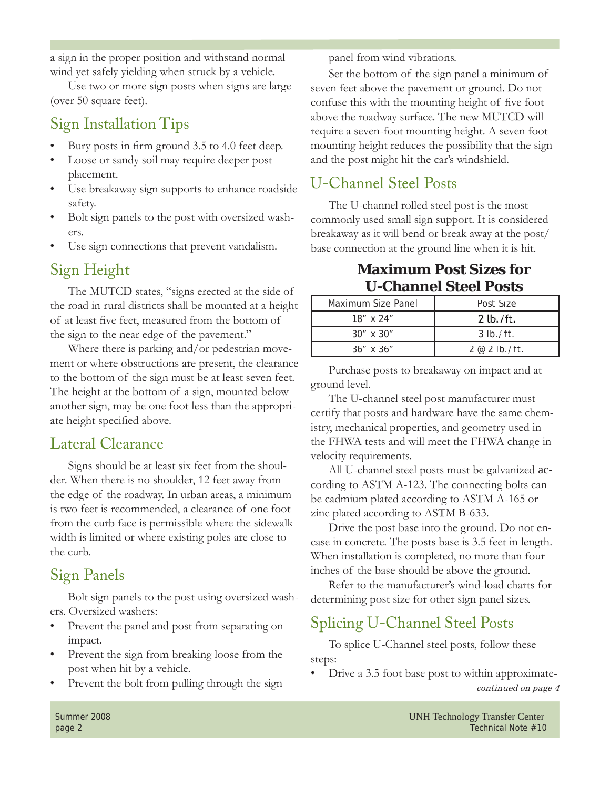a sign in the proper position and withstand normal wind yet safely yielding when struck by a vehicle.

Use two or more sign posts when signs are large (over 50 square feet).

### Sign Installation Tips

- Bury posts in firm ground 3.5 to 4.0 feet deep.
- Loose or sandy soil may require deeper post placement.
- Use breakaway sign supports to enhance roadside safety.
- Bolt sign panels to the post with oversized washers.
- Use sign connections that prevent vandalism.

### Sign Height

The MUTCD states, "signs erected at the side of the road in rural districts shall be mounted at a height of at least five feet, measured from the bottom of the sign to the near edge of the pavement."

Where there is parking and/or pedestrian movement or where obstructions are present, the clearance to the bottom of the sign must be at least seven feet. The height at the bottom of a sign, mounted below another sign, may be one foot less than the appropriate height specified above.

### Lateral Clearance

Signs should be at least six feet from the shoulder. When there is no shoulder, 12 feet away from the edge of the roadway. In urban areas, a minimum is two feet is recommended, a clearance of one foot from the curb face is permissible where the sidewalk width is limited or where existing poles are close to the curb.

### Sign Panels

Bolt sign panels to the post using oversized washers. Oversized washers:

- Prevent the panel and post from separating on impact.
- Prevent the sign from breaking loose from the post when hit by a vehicle.
- Prevent the bolt from pulling through the sign

panel from wind vibrations.

Set the bottom of the sign panel a minimum of seven feet above the pavement or ground. Do not confuse this with the mounting height of five foot above the roadway surface. The new MUTCD will require a seven-foot mounting height. A seven foot mounting height reduces the possibility that the sign and the post might hit the car's windshield.

### U-Channel Steel Posts

The U-channel rolled steel post is the most commonly used small sign support. It is considered breakaway as it will bend or break away at the post/ base connection at the ground line when it is hit.

### **Maximum Post Sizes for U-Channel Steel Posts**

| Maximum Size Panel | Post Size     |
|--------------------|---------------|
| $18''$ x $24''$    | 2 lb./ft.     |
| $30'' \times 30''$ | $3$ lb./ft.   |
| $36'' \times 36''$ | $2@2$ lb./ft. |

Purchase posts to breakaway on impact and at ground level.

The U-channel steel post manufacturer must certify that posts and hardware have the same chemistry, mechanical properties, and geometry used in the FHWA tests and will meet the FHWA change in velocity requirements.

All U-channel steel posts must be galvanized according to ASTM A-123. The connecting bolts can be cadmium plated according to ASTM A-165 or zinc plated according to ASTM B-633.

Drive the post base into the ground. Do not encase in concrete. The posts base is 3.5 feet in length. When installation is completed, no more than four inches of the base should be above the ground.

Refer to the manufacturer's wind-load charts for determining post size for other sign panel sizes.

### Splicing U-Channel Steel Posts

To splice U-Channel steel posts, follow these steps:

• Drive a 3.5 foot base post to within approximatecontinued on page 4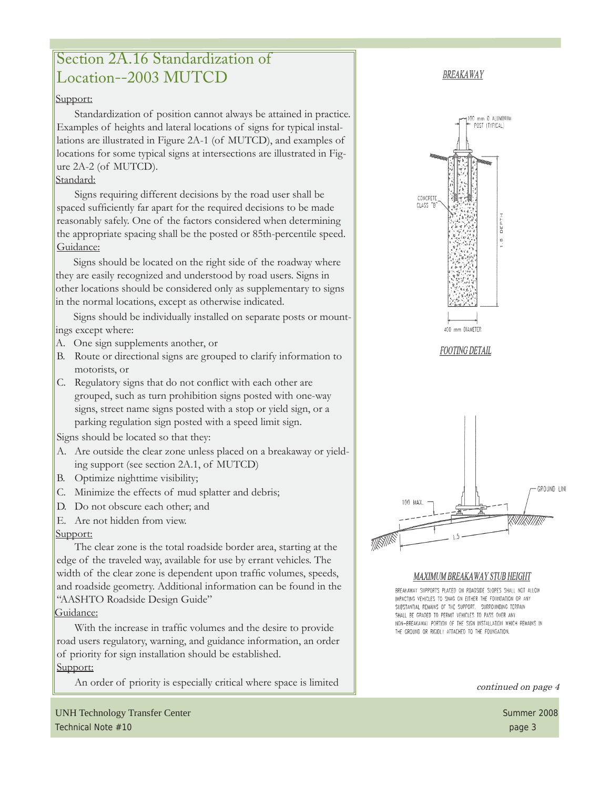### Section 2A.16 Standardization of Location--2003 MUTCD

#### Support:

Standardization of position cannot always be attained in practice. Examples of heights and lateral locations of signs for typical installations are illustrated in Figure 2A-1 (of MUTCD), and examples of locations for some typical signs at intersections are illustrated in Figure 2A-2 (of MUTCD).

#### Standard:

Signs requiring different decisions by the road user shall be spaced sufficiently far apart for the required decisions to be made reasonably safely. One of the factors considered when determining the appropriate spacing shall be the posted or 85th-percentile speed. Guidance:

Signs should be located on the right side of the roadway where they are easily recognized and understood by road users. Signs in other locations should be considered only as supplementary to signs in the normal locations, except as otherwise indicated.

Signs should be individually installed on separate posts or mountings except where:

- A. One sign supplements another, or
- B. Route or directional signs are grouped to clarify information to motorists, or
- C. Regulatory signs that do not conflict with each other are grouped, such as turn prohibition signs posted with one-way signs, street name signs posted with a stop or yield sign, or a parking regulation sign posted with a speed limit sign.

Signs should be located so that they:

- A. Are outside the clear zone unless placed on a break away or yielding support (see section 2A.1, of MUTCD)
- B. Optimize nighttime visibility;
- C. Minimize the effects of mud splatter and debris;
- D. Do not obscure each other; and
- E. Are not hidden from view.

#### Support:

The clear zone is the total roadside border area, starting at the edge of the traveled way, available for use by errant vehicles. The width of the clear zone is dependent upon traffic volumes, speeds, and roadside geometry. Additional information can be found in the "AASHTO Roadside Design Guide"

#### Guidance:

With the increase in traffic volumes and the desire to provide road users regulatory, warning, and guidance information, an order of priority for sign installation should be established. Support:

An order of priority is especially critical where space is limited  $\Box$  continued on page 4



UNH Technology Transfer Center Summer 2008 Technical Note #10 page 3